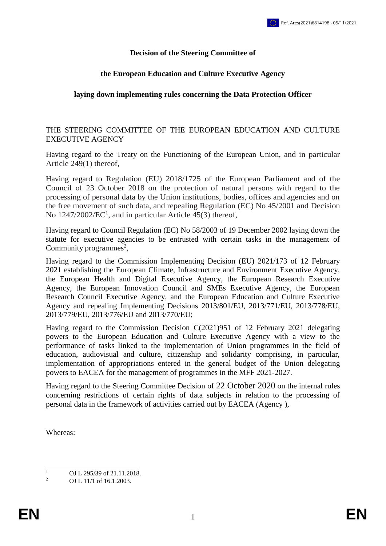## **Decision of the Steering Committee of**

## **the European Education and Culture Executive Agency**

#### **laying down implementing rules concerning the Data Protection Officer**

#### THE STEERING COMMITTEE OF THE EUROPEAN EDUCATION AND CULTURE EXECUTIVE AGENCY

Having regard to the Treaty on the Functioning of the European Union, and in particular Article 249(1) thereof,

Having regard to Regulation (EU) 2018/1725 of the European Parliament and of the Council of 23 October 2018 on the protection of natural persons with regard to the processing of personal data by the Union institutions, bodies, offices and agencies and on the free movement of such data, and repealing Regulation (EC) No 45/2001 and Decision No  $1247/2002/EC<sup>1</sup>$ , and in particular Article 45(3) thereof,

Having regard to Council Regulation (EC) No 58/2003 of 19 December 2002 laying down the statute for executive agencies to be entrusted with certain tasks in the management of Community programmes<sup>2</sup>,

Having regard to the Commission Implementing Decision (EU) 2021/173 of 12 February 2021 establishing the European Climate, Infrastructure and Environment Executive Agency, the European Health and Digital Executive Agency, the European Research Executive Agency, the European Innovation Council and SMEs Executive Agency, the European Research Council Executive Agency, and the European Education and Culture Executive Agency and repealing Implementing Decisions 2013/801/EU, 2013/771/EU, 2013/778/EU, 2013/779/EU, 2013/776/EU and 2013/770/EU;

Having regard to the Commission Decision C(2021)951 of 12 February 2021 delegating powers to the European Education and Culture Executive Agency with a view to the performance of tasks linked to the implementation of Union programmes in the field of education, audiovisual and culture, citizenship and solidarity comprising, in particular, implementation of appropriations entered in the general budget of the Union delegating powers to EACEA for the management of programmes in the MFF 2021-2027.

Having regard to the Steering Committee Decision of 22 October 2020 on the internal rules concerning restrictions of certain rights of data subjects in relation to the processing of personal data in the framework of activities carried out by EACEA (Agency ),

Whereas:

 $\mathbf{1}$ <sup>1</sup> OJ L 295/39 of 21.11.2018.

<sup>2</sup> OJ L 11/1 of 16.1.2003.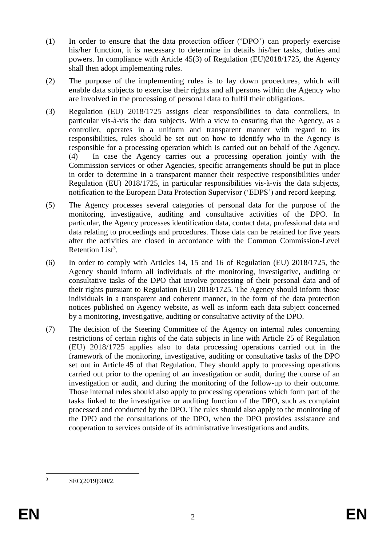- (1) In order to ensure that the data protection officer ('DPO') can properly exercise his/her function, it is necessary to determine in details his/her tasks, duties and powers. In compliance with Article 45(3) of Regulation (EU)2018/1725, the Agency shall then adopt implementing rules.
- (2) The purpose of the implementing rules is to lay down procedures, which will enable data subjects to exercise their rights and all persons within the Agency who are involved in the processing of personal data to fulfil their obligations.
- (3) Regulation (EU) 2018/1725 assigns clear responsibilities to data controllers, in particular vis-à-vis the data subjects. With a view to ensuring that the Agency, as a controller, operates in a uniform and transparent manner with regard to its responsibilities, rules should be set out on how to identify who in the Agency is responsible for a processing operation which is carried out on behalf of the Agency. (4) In case the Agency carries out a processing operation jointly with the Commission services or other Agencies, specific arrangements should be put in place in order to determine in a transparent manner their respective responsibilities under Regulation (EU) 2018/1725, in particular responsibilities vis-à-vis the data subjects, notification to the European Data Protection Supervisor ('EDPS') and record keeping.
- (5) The Agency processes several categories of personal data for the purpose of the monitoring, investigative, auditing and consultative activities of the DPO. In particular, the Agency processes identification data, contact data, professional data and data relating to proceedings and procedures. Those data can be retained for five years after the activities are closed in accordance with the Common Commission-Level Retention List<sup>3</sup>.
- (6) In order to comply with Articles 14, 15 and 16 of Regulation (EU) 2018/1725, the Agency should inform all individuals of the monitoring, investigative, auditing or consultative tasks of the DPO that involve processing of their personal data and of their rights pursuant to Regulation (EU) 2018/1725. The Agency should inform those individuals in a transparent and coherent manner, in the form of the data protection notices published on Agency website, as well as inform each data subject concerned by a monitoring, investigative, auditing or consultative activity of the DPO.
- (7) The decision of the Steering Committee of the Agency on internal rules concerning restrictions of certain rights of the data subjects in line with Article 25 of Regulation (EU) 2018/1725 applies also to data processing operations carried out in the framework of the monitoring, investigative, auditing or consultative tasks of the DPO set out in Article 45 of that Regulation. They should apply to processing operations carried out prior to the opening of an investigation or audit, during the course of an investigation or audit, and during the monitoring of the follow-up to their outcome. Those internal rules should also apply to processing operations which form part of the tasks linked to the investigative or auditing function of the DPO, such as complaint processed and conducted by the DPO. The rules should also apply to the monitoring of the DPO and the consultations of the DPO, when the DPO provides assistance and cooperation to services outside of its administrative investigations and audits.

 $\overline{3}$ <sup>3</sup> SEC(2019)900/2.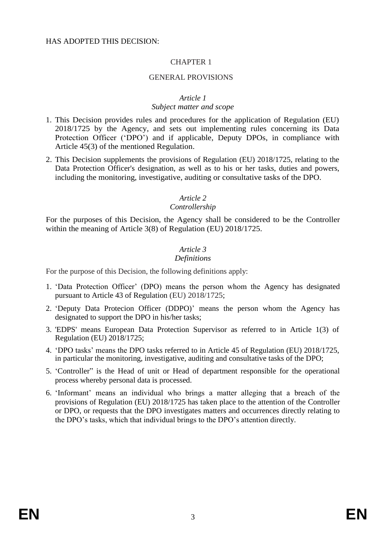### GENERAL PROVISIONS

#### *Article 1*

#### *Subject matter and scope*

- 1. This Decision provides rules and procedures for the application of Regulation (EU) 2018/1725 by the Agency, and sets out implementing rules concerning its Data Protection Officer ('DPO') and if applicable, Deputy DPOs, in compliance with Article 45(3) of the mentioned Regulation.
- 2. This Decision supplements the provisions of Regulation (EU) 2018/1725, relating to the Data Protection Officer's designation, as well as to his or her tasks, duties and powers, including the monitoring, investigative, auditing or consultative tasks of the DPO.

#### *Article 2*

#### *Controllership*

For the purposes of this Decision, the Agency shall be considered to be the Controller within the meaning of Article 3(8) of Regulation (EU) 2018/1725.

## *Article 3*

#### *Definitions*

For the purpose of this Decision, the following definitions apply:

- 1. 'Data Protection Officer' (DPO) means the person whom the Agency has designated pursuant to Article 43 of Regulation (EU) 2018/1725;
- 2. 'Deputy Data Protecion Officer (DDPO)' means the person whom the Agency has designated to support the DPO in his/her tasks;
- 3. 'EDPS' means European Data Protection Supervisor as referred to in Article 1(3) of Regulation (EU) 2018/1725;
- 4. 'DPO tasks' means the DPO tasks referred to in Article 45 of Regulation (EU) 2018/1725, in particular the monitoring, investigative, auditing and consultative tasks of the DPO;
- 5. 'Controller" is the Head of unit or Head of department responsible for the operational process whereby personal data is processed.
- 6. 'Informant' means an individual who brings a matter alleging that a breach of the provisions of Regulation (EU) 2018/1725 has taken place to the attention of the Controller or DPO, or requests that the DPO investigates matters and occurrences directly relating to the DPO's tasks, which that individual brings to the DPO's attention directly.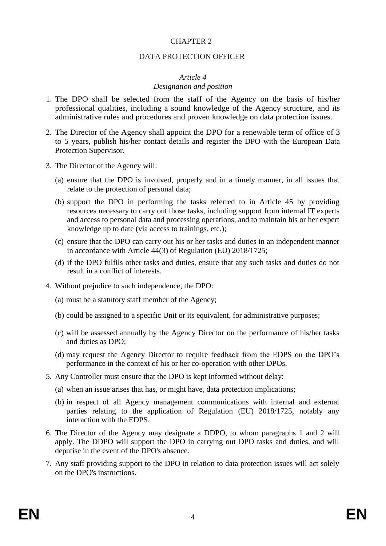#### DATA PROTECTION OFFICER

#### *Article 4*

#### *Designation and position*

- 1. The DPO shall be selected from the staff of the Agency on the basis of his/her professional qualities, including a sound knowledge of the Agency structure, and its administrative rules and procedures and proven knowledge on data protection issues.
- 2. The Director of the Agency shall appoint the DPO for a renewable term of office of 3 to 5 years, publish his/her contact details and register the DPO with the European Data Protection Supervisor.
- 3. The Director of the Agency will:
	- (a) ensure that the DPO is involved, properly and in a timely manner, in all issues that relate to the protection of personal data;
	- (b) support the DPO in performing the tasks referred to in Article 45 by providing resources necessary to carry out those tasks, including support from internal IT experts and access to personal data and processing operations, and to maintain his or her expert knowledge up to date (via access to trainings, etc.);
	- (c) ensure that the DPO can carry out his or her tasks and duties in an independent manner in accordance with Article 44(3) of Regulation (EU) 2018/1725;
	- (d) if the DPO fulfils other tasks and duties, ensure that any such tasks and duties do not result in a conflict of interests.
- 4. Without prejudice to such independence, the DPO:
	- (a) must be a statutory staff member of the Agency;
	- (b) could be assigned to a specific Unit or its equivalent, for administrative purposes;
	- (c) will be assessed annually by the Agency Director on the performance of his/her tasks and duties as DPO;
	- (d) may request the Agency Director to require feedback from the EDPS on the DPO's performance in the context of his or her co-operation with other DPOs.
- 5. Any Controller must ensure that the DPO is kept informed without delay:
	- (a) when an issue arises that has, or might have, data protection implications;
	- (b) in respect of all Agency management communications with internal and external parties relating to the application of Regulation (EU) 2018/1725, notably any interaction with the EDPS.
- 6. The Director of the Agency may designate a DDPO, to whom paragraphs 1 and 2 will apply. The DDPO will support the DPO in carrying out DPO tasks and duties, and will deputise in the event of the DPO's absence.
- 7. Any staff providing support to the DPO in relation to data protection issues will act solely on the DPO's instructions.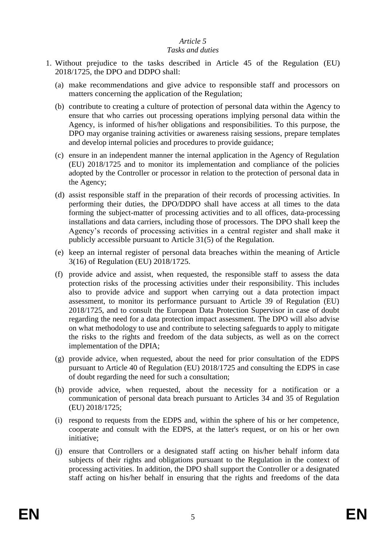## *Article 5*

#### *Tasks and duties*

- 1. Without prejudice to the tasks described in Article 45 of the Regulation (EU) 2018/1725, the DPO and DDPO shall:
	- (a) make recommendations and give advice to responsible staff and processors on matters concerning the application of the Regulation;
	- (b) contribute to creating a culture of protection of personal data within the Agency to ensure that who carries out processing operations implying personal data within the Agency, is informed of his/her obligations and responsibilities. To this purpose, the DPO may organise training activities or awareness raising sessions, prepare templates and develop internal policies and procedures to provide guidance;
	- (c) ensure in an independent manner the internal application in the Agency of Regulation (EU) 2018/1725 and to monitor its implementation and compliance of the policies adopted by the Controller or processor in relation to the protection of personal data in the Agency;
	- (d) assist responsible staff in the preparation of their records of processing activities. In performing their duties, the DPO/DDPO shall have access at all times to the data forming the subject-matter of processing activities and to all offices, data-processing installations and data carriers, including those of processors. The DPO shall keep the Agency's records of processing activities in a central register and shall make it publicly accessible pursuant to Article 31(5) of the Regulation.
	- (e) keep an internal register of personal data breaches within the meaning of Article 3(16) of Regulation (EU) 2018/1725.
	- (f) provide advice and assist, when requested, the responsible staff to assess the data protection risks of the processing activities under their responsibility. This includes also to provide advice and support when carrying out a data protection impact assessment, to monitor its performance pursuant to Article 39 of Regulation (EU) 2018/1725, and to consult the European Data Protection Supervisor in case of doubt regarding the need for a data protection impact assessment. The DPO will also advise on what methodology to use and contribute to selecting safeguards to apply to mitigate the risks to the rights and freedom of the data subjects, as well as on the correct implementation of the DPIA;
	- (g) provide advice, when requested, about the need for prior consultation of the EDPS pursuant to Article 40 of Regulation (EU) 2018/1725 and consulting the EDPS in case of doubt regarding the need for such a consultation;
	- (h) provide advice, when requested, about the necessity for a notification or a communication of personal data breach pursuant to Articles 34 and 35 of Regulation (EU) 2018/1725;
	- (i) respond to requests from the EDPS and, within the sphere of his or her competence, cooperate and consult with the EDPS, at the latter's request, or on his or her own initiative;
	- (j) ensure that Controllers or a designated staff acting on his/her behalf inform data subjects of their rights and obligations pursuant to the Regulation in the context of processing activities. In addition, the DPO shall support the Controller or a designated staff acting on his/her behalf in ensuring that the rights and freedoms of the data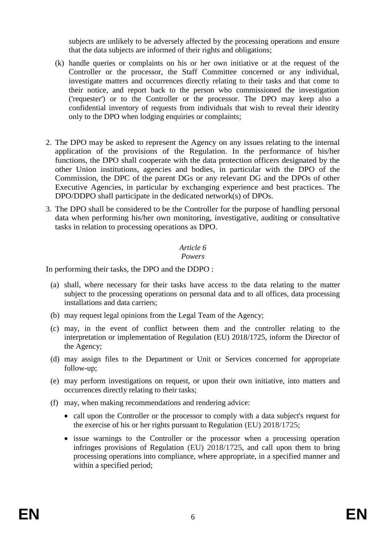subjects are unlikely to be adversely affected by the processing operations and ensure that the data subjects are informed of their rights and obligations;

- (k) handle queries or complaints on his or her own initiative or at the request of the Controller or the processor, the Staff Committee concerned or any individual, investigate matters and occurrences directly relating to their tasks and that come to their notice, and report back to the person who commissioned the investigation ('requester') or to the Controller or the processor. The DPO may keep also a confidential inventory of requests from individuals that wish to reveal their identity only to the DPO when lodging enquiries or complaints;
- 2. The DPO may be asked to represent the Agency on any issues relating to the internal application of the provisions of the Regulation. In the performance of his/her functions, the DPO shall cooperate with the data protection officers designated by the other Union institutions, agencies and bodies, in particular with the DPO of the Commission, the DPC of the parent DGs or any relevant DG and the DPOs of other Executive Agencies, in particular by exchanging experience and best practices. The DPO/DDPO shall participate in the dedicated network(s) of DPOs.
- 3. The DPO shall be considered to be the Controller for the purpose of handling personal data when performing his/her own monitoring, investigative, auditing or consultative tasks in relation to processing operations as DPO.

## *Article 6*

#### *Powers*

In performing their tasks, the DPO and the DDPO :

- (a) shall, where necessary for their tasks have access to the data relating to the matter subject to the processing operations on personal data and to all offices, data processing installations and data carriers;
- (b) may request legal opinions from the Legal Team of the Agency;
- (c) may, in the event of conflict between them and the controller relating to the interpretation or implementation of Regulation (EU) 2018/1725, inform the Director of the Agency;
- (d) may assign files to the Department or Unit or Services concerned for appropriate follow-up;
- (e) may perform investigations on request, or upon their own initiative, into matters and occurrences directly relating to their tasks;
- (f) may, when making recommendations and rendering advice:
	- call upon the Controller or the processor to comply with a data subject's request for the exercise of his or her rights pursuant to Regulation (EU) 2018/1725;
	- issue warnings to the Controller or the processor when a processing operation infringes provisions of Regulation (EU) 2018/1725, and call upon them to bring processing operations into compliance, where appropriate, in a specified manner and within a specified period;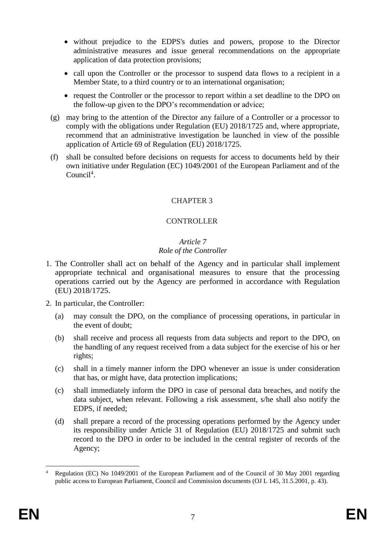- without prejudice to the EDPS's duties and powers, propose to the Director administrative measures and issue general recommendations on the appropriate application of data protection provisions;
- call upon the Controller or the processor to suspend data flows to a recipient in a Member State, to a third country or to an international organisation;
- request the Controller or the processor to report within a set deadline to the DPO on the follow-up given to the DPO's recommendation or advice;
- (g) may bring to the attention of the Director any failure of a Controller or a processor to comply with the obligations under Regulation (EU) 2018/1725 and, where appropriate, recommend that an administrative investigation be launched in view of the possible application of Article 69 of Regulation (EU) 2018/1725.
- (f) shall be consulted before decisions on requests for access to documents held by their own initiative under Regulation (EC) 1049/2001 of the European Parliament and of the Council<sup>4</sup>.

## **CONTROLLER**

#### *Article 7 Role of the Controller*

- 1. The Controller shall act on behalf of the Agency and in particular shall implement appropriate technical and organisational measures to ensure that the processing operations carried out by the Agency are performed in accordance with Regulation (EU) 2018/1725.
- 2. In particular, the Controller:
	- (a) may consult the DPO, on the compliance of processing operations, in particular in the event of doubt;
	- (b) shall receive and process all requests from data subjects and report to the DPO, on the handling of any request received from a data subject for the exercise of his or her rights;
	- (c) shall in a timely manner inform the DPO whenever an issue is under consideration that has, or might have, data protection implications;
	- (c) shall immediately inform the DPO in case of personal data breaches, and notify the data subject, when relevant. Following a risk assessment, s/he shall also notify the EDPS, if needed;
	- (d) shall prepare a record of the processing operations performed by the Agency under its responsibility under Article 31 of Regulation (EU) 2018/1725 and submit such record to the DPO in order to be included in the central register of records of the Agency;

<sup>1</sup> <sup>4</sup> Regulation (EC) No 1049/2001 of the European Parliament and of the Council of 30 May 2001 regarding public access to European Parliament, Council and Commission documents (OJ L 145, 31.5.2001, p. 43).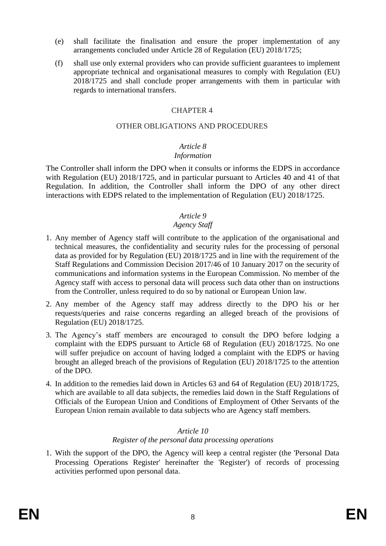- (e) shall facilitate the finalisation and ensure the proper implementation of any arrangements concluded under Article 28 of Regulation (EU) 2018/1725;
- (f) shall use only external providers who can provide sufficient guarantees to implement appropriate technical and organisational measures to comply with Regulation (EU) 2018/1725 and shall conclude proper arrangements with them in particular with regards to international transfers.

#### OTHER OBLIGATIONS AND PROCEDURES

# *Article 8*

*Information*

The Controller shall inform the DPO when it consults or informs the EDPS in accordance with Regulation (EU) 2018/1725, and in particular pursuant to Articles 40 and 41 of that Regulation. In addition, the Controller shall inform the DPO of any other direct interactions with EDPS related to the implementation of Regulation (EU) 2018/1725.

#### *Article 9*

## *Agency Staff*

- 1. Any member of Agency staff will contribute to the application of the organisational and technical measures, the confidentiality and security rules for the processing of personal data as provided for by Regulation (EU) 2018/1725 and in line with the requirement of the Staff Regulations and Commission Decision 2017/46 of 10 January 2017 on the security of communications and information systems in the European Commission. No member of the Agency staff with access to personal data will process such data other than on instructions from the Controller, unless required to do so by national or European Union law.
- 2. Any member of the Agency staff may address directly to the DPO his or her requests/queries and raise concerns regarding an alleged breach of the provisions of Regulation (EU) 2018/1725.
- 3. The Agency's staff members are encouraged to consult the DPO before lodging a complaint with the EDPS pursuant to Article 68 of Regulation (EU) 2018/1725. No one will suffer prejudice on account of having lodged a complaint with the EDPS or having brought an alleged breach of the provisions of Regulation (EU) 2018/1725 to the attention of the DPO.
- 4. In addition to the remedies laid down in Articles 63 and 64 of Regulation (EU) 2018/1725, which are available to all data subjects, the remedies laid down in the Staff Regulations of Officials of the European Union and Conditions of Employment of Other Servants of the European Union remain available to data subjects who are Agency staff members.

## *Article 10*

## *Register of the personal data processing operations*

1. With the support of the DPO, the Agency will keep a central register (the 'Personal Data Processing Operations Register' hereinafter the 'Register') of records of processing activities performed upon personal data.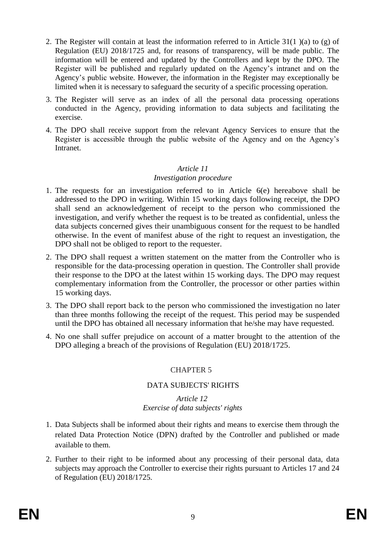- 2. The Register will contain at least the information referred to in Article 31(1 )(a) to (g) of Regulation (EU) 2018/1725 and, for reasons of transparency, will be made public. The information will be entered and updated by the Controllers and kept by the DPO. The Register will be published and regularly updated on the Agency's intranet and on the Agency's public website. However, the information in the Register may exceptionally be limited when it is necessary to safeguard the security of a specific processing operation.
- 3. The Register will serve as an index of all the personal data processing operations conducted in the Agency, providing information to data subjects and facilitating the exercise.
- 4. The DPO shall receive support from the relevant Agency Services to ensure that the Register is accessible through the public website of the Agency and on the Agency's Intranet.

## *Article 11*

## *Investigation procedure*

- 1. The requests for an investigation referred to in Article 6(e) hereabove shall be addressed to the DPO in writing. Within 15 working days following receipt, the DPO shall send an acknowledgement of receipt to the person who commissioned the investigation, and verify whether the request is to be treated as confidential, unless the data subjects concerned gives their unambiguous consent for the request to be handled otherwise. In the event of manifest abuse of the right to request an investigation, the DPO shall not be obliged to report to the requester.
- 2. The DPO shall request a written statement on the matter from the Controller who is responsible for the data-processing operation in question. The Controller shall provide their response to the DPO at the latest within 15 working days. The DPO may request complementary information from the Controller, the processor or other parties within 15 working days.
- 3. The DPO shall report back to the person who commissioned the investigation no later than three months following the receipt of the request. This period may be suspended until the DPO has obtained all necessary information that he/she may have requested.
- 4. No one shall suffer prejudice on account of a matter brought to the attention of the DPO alleging a breach of the provisions of Regulation (EU) 2018/1725.

## CHAPTER 5

## DATA SUBJECTS' RIGHTS

#### *Article 12 Exercise of data subjects' rights*

- 1. Data Subjects shall be informed about their rights and means to exercise them through the related Data Protection Notice (DPN) drafted by the Controller and published or made available to them.
- 2. Further to their right to be informed about any processing of their personal data, data subjects may approach the Controller to exercise their rights pursuant to Articles 17 and 24 of Regulation (EU) 2018/1725.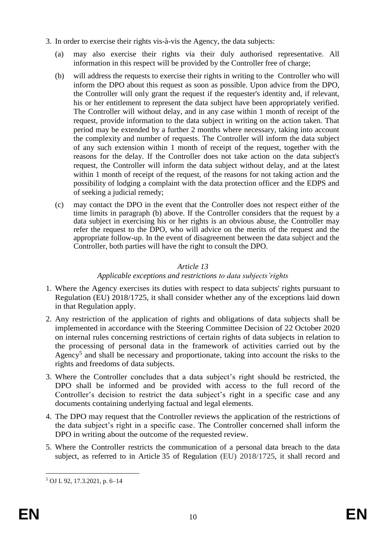- 3. In order to exercise their rights vis-à-vis the Agency, the data subjects:
	- (a) may also exercise their rights via their duly authorised representative. All information in this respect will be provided by the Controller free of charge;
	- (b) will address the requests to exercise their rights in writing to the Controller who will inform the DPO about this request as soon as possible. Upon advice from the DPO, the Controller will only grant the request if the requester's identity and, if relevant, his or her entitlement to represent the data subject have been appropriately verified. The Controller will without delay, and in any case within 1 month of receipt of the request, provide information to the data subject in writing on the action taken. That period may be extended by a further 2 months where necessary, taking into account the complexity and number of requests. The Controller will inform the data subject of any such extension within 1 month of receipt of the request, together with the reasons for the delay. If the Controller does not take action on the data subject's request, the Controller will inform the data subject without delay, and at the latest within 1 month of receipt of the request, of the reasons for not taking action and the possibility of lodging a complaint with the data protection officer and the EDPS and of seeking a judicial remedy;
	- (c) may contact the DPO in the event that the Controller does not respect either of the time limits in paragraph (b) above. If the Controller considers that the request by a data subject in exercising his or her rights is an obvious abuse, the Controller may refer the request to the DPO, who will advice on the merits of the request and the appropriate follow-up. In the event of disagreement between the data subject and the Controller, both parties will have the right to consult the DPO.

## *Article 13*

## *Applicable exceptions and restrictions to data subjects'rights*

- 1. Where the Agency exercises its duties with respect to data subjects' rights pursuant to Regulation (EU) 2018/1725, it shall consider whether any of the exceptions laid down in that Regulation apply.
- 2. Any restriction of the application of rights and obligations of data subjects shall be implemented in accordance with the Steering Committee Decision of 22 October 2020 on internal rules concerning restrictions of certain rights of data subjects in relation to the processing of personal data in the framework of activities carried out by the Agency<sup>5</sup> and shall be necessary and proportionate, taking into account the risks to the rights and freedoms of data subjects.
- 3. Where the Controller concludes that a data subject's right should be restricted, the DPO shall be informed and be provided with access to the full record of the Controller's decision to restrict the data subject's right in a specific case and any documents containing underlying factual and legal elements.
- 4. The DPO may request that the Controller reviews the application of the restrictions of the data subject's right in a specific case. The Controller concerned shall inform the DPO in writing about the outcome of the requested review.
- 5. Where the Controller restricts the communication of a personal data breach to the data subject, as referred to in Article 35 of Regulation (EU) 2018/1725, it shall record and

<u>.</u>

<sup>5</sup> OJ L 92, 17.3.2021, p. 6–14